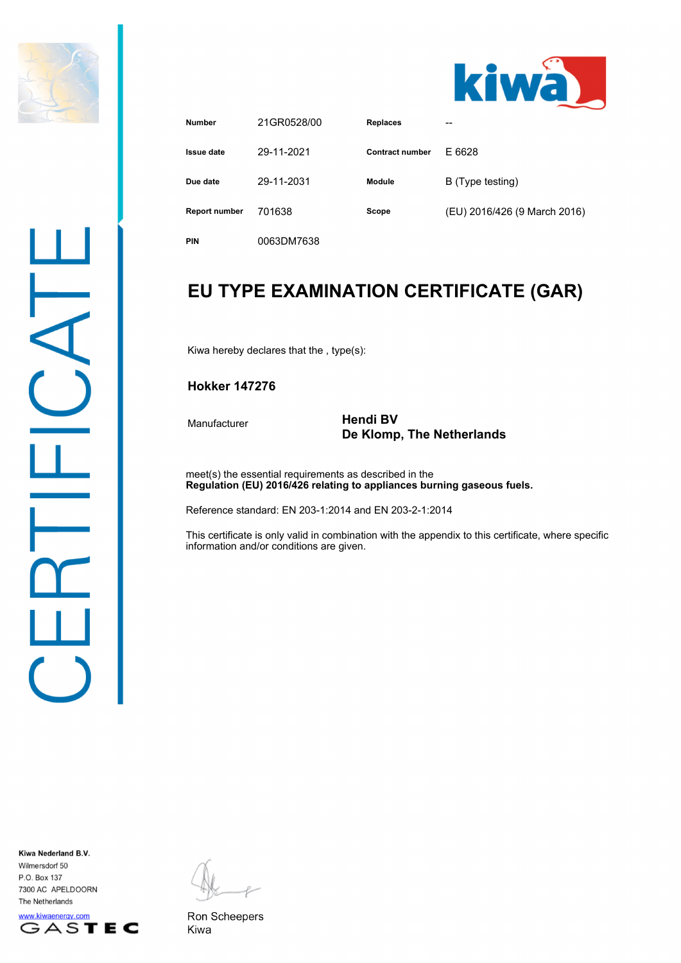

Ц,

 $\overline{\phantom{0}}$ 



| <b>Number</b>        | 21GR0528/00 | <b>Replaces</b> | --                           |
|----------------------|-------------|-----------------|------------------------------|
| Issue date           | 29-11-2021  | Contract number | E 6628                       |
| Due date             | 29-11-2031  | <b>Module</b>   | B (Type testing)             |
| <b>Report number</b> | 701638      | Scope           | (EU) 2016/426 (9 March 2016) |
| <b>PIN</b>           | 0063DM7638  |                 |                              |

## **EU TYPE EXAMINATION CERTIFICATE (GAR)**

Kiwa hereby declares that the , type(s):

### **Hokker 147276**

#### Manufacturer **Hendi BV De Klomp, The Netherlands**

meet(s) the essential requirements as described in the **Regulation (EU) 2016/426 relating to appliances burning gaseous fuels.**

Reference standard: EN 203-1:2014 and EN 203-2-1:2014

This certificate is only valid in combination with the appendix to this certificate, where specific information and/or conditions are given.

Kiwa Nederland B.V. Wilmersdorf 50 P.O. Box 137 7300 AC APELDOORN The Netherlands



Ron Scheepers Kiwa